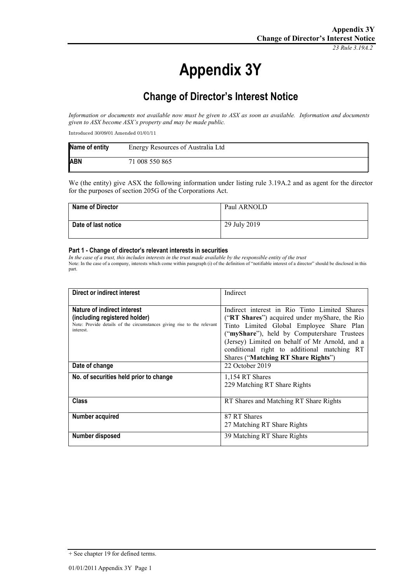*23 Rule 3.19A.2*

# **Appendix 3Y**

## **Change of Director's Interest Notice**

*Information or documents not available now must be given to ASX as soon as available. Information and documents given to ASX become ASX's property and may be made public.*

Introduced 30/09/01 Amended 01/01/11

| Name of entity | Energy Resources of Australia Ltd |
|----------------|-----------------------------------|
| <b>ABN</b>     | 71 008 550 865                    |

We (the entity) give ASX the following information under listing rule 3.19A.2 and as agent for the director for the purposes of section 205G of the Corporations Act.

| <b>Name of Director</b> | Paul ARNOLD  |
|-------------------------|--------------|
| Date of last notice     | 29 July 2019 |

#### **Part 1 - Change of director's relevant interests in securities**

*In the case of a trust, this includes interests in the trust made available by the responsible entity of the trust* Note: In the case of a company, interests which come within paragraph (i) of the definition of "notifiable interest of a director" should be disclosed in this part.

| Direct or indirect interest                                                                                                                         | Indirect                                                                                                                                                                                                                                                                                                                          |
|-----------------------------------------------------------------------------------------------------------------------------------------------------|-----------------------------------------------------------------------------------------------------------------------------------------------------------------------------------------------------------------------------------------------------------------------------------------------------------------------------------|
|                                                                                                                                                     |                                                                                                                                                                                                                                                                                                                                   |
| Nature of indirect interest<br>(including registered holder)<br>Note: Provide details of the circumstances giving rise to the relevant<br>interest. | Indirect interest in Rio Tinto Limited Shares<br>("RT Shares") acquired under myShare, the Rio<br>Tinto Limited Global Employee Share Plan<br>("myShare"), held by Computershare Trustees<br>(Jersey) Limited on behalf of Mr Arnold, and a<br>conditional right to additional matching RT<br>Shares ("Matching RT Share Rights") |
| Date of change                                                                                                                                      | 22 October 2019                                                                                                                                                                                                                                                                                                                   |
| No. of securities held prior to change                                                                                                              | 1,154 RT Shares<br>229 Matching RT Share Rights                                                                                                                                                                                                                                                                                   |
| <b>Class</b>                                                                                                                                        | RT Shares and Matching RT Share Rights                                                                                                                                                                                                                                                                                            |
| Number acquired                                                                                                                                     | 87 RT Shares<br>27 Matching RT Share Rights                                                                                                                                                                                                                                                                                       |
| Number disposed                                                                                                                                     | 39 Matching RT Share Rights                                                                                                                                                                                                                                                                                                       |

<sup>+</sup> See chapter 19 for defined terms.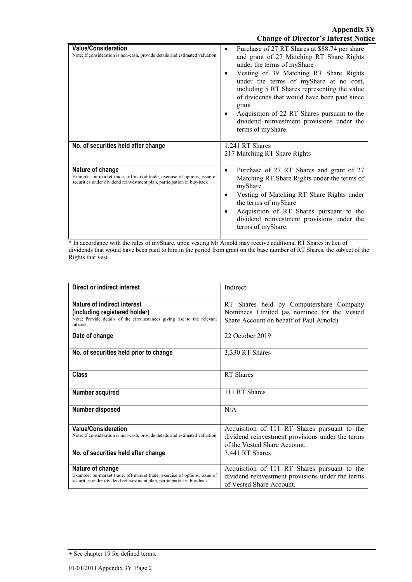| <b>Value/Consideration</b><br>Note: If consideration is non-cash, provide details and estimated valuation                                                               | Purchase of 27 RT Shares at \$88.74 per share<br>٠<br>and grant of 27 Matching RT Share Rights<br>under the terms of myShare<br>Vesting of 39 Matching RT Share Rights<br>under the terms of myShare at no cost,<br>including 5 RT Shares representing the value<br>of dividends that would have been paid since<br>grant<br>Acquisition of 22 RT Shares pursuant to the<br>dividend reinvestment provisions under the<br>terms of myShare. |
|-------------------------------------------------------------------------------------------------------------------------------------------------------------------------|---------------------------------------------------------------------------------------------------------------------------------------------------------------------------------------------------------------------------------------------------------------------------------------------------------------------------------------------------------------------------------------------------------------------------------------------|
| No. of securities held after change                                                                                                                                     | 1,241 RT Shares<br>217 Matching RT Share Rights                                                                                                                                                                                                                                                                                                                                                                                             |
| Nature of change<br>Example: on-market trade, off-market trade, exercise of options, issue of<br>securities under dividend reinvestment plan, participation in buy-back | Purchase of 27 RT Shares and grant of 27<br>$\bullet$<br>Matching RT Share Rights under the terms of<br>myShare<br>Vesting of Matching RT Share Rights under<br>the terms of myShare<br>Acquisition of RT Shares pursuant to the<br>dividend reinvestment provisions under the<br>terms of myShare.                                                                                                                                         |

\* In accordance with the rules of myShare, upon vesting Mr Arnold may receive additional RT Shares in lieu of dividends that would have been paid to him in the period from grant on the base number of RT Shares, the subject of the Rights that vest.

| Direct or indirect interest                                                                                                                                             | Indirect                                                                                                                          |
|-------------------------------------------------------------------------------------------------------------------------------------------------------------------------|-----------------------------------------------------------------------------------------------------------------------------------|
| Nature of indirect interest<br>(including registered holder)<br>Note: Provide details of the circumstances giving rise to the relevant<br>interest.                     | RT Shares held by Computershare Company<br>Nominees Limited (as nominee for the Vested<br>Share Account on behalf of Paul Arnold) |
| Date of change                                                                                                                                                          | 22 October 2019                                                                                                                   |
| No. of securities held prior to change                                                                                                                                  | 3,330 RT Shares                                                                                                                   |
| <b>Class</b>                                                                                                                                                            | RT Shares                                                                                                                         |
| Number acquired                                                                                                                                                         | 111 RT Shares                                                                                                                     |
| Number disposed                                                                                                                                                         | N/A                                                                                                                               |
| <b>Value/Consideration</b><br>Note: If consideration is non-cash, provide details and estimated valuation                                                               | Acquisition of 111 RT Shares pursuant to the<br>dividend reinvestment provisions under the terms<br>of the Vested Share Account.  |
| No. of securities held after change                                                                                                                                     | 3,441 RT Shares                                                                                                                   |
| Nature of change<br>Example: on-market trade, off-market trade, exercise of options, issue of<br>securities under dividend reinvestment plan, participation in buy-back | Acquisition of 111 RT Shares pursuant to the<br>dividend reinvestment provisions under the terms<br>of Vested Share Account.      |

<sup>+</sup> See chapter 19 for defined terms.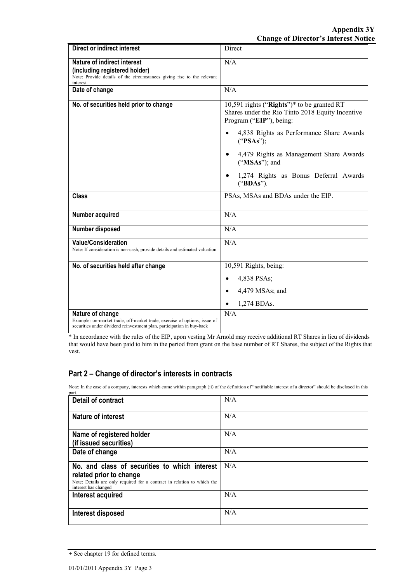| <b>Direct or indirect interest</b>                                                                                                                                      | Direct                                                                                                                    |
|-------------------------------------------------------------------------------------------------------------------------------------------------------------------------|---------------------------------------------------------------------------------------------------------------------------|
| Nature of indirect interest<br>(including registered holder)<br>Note: Provide details of the circumstances giving rise to the relevant<br>interest.                     | N/A                                                                                                                       |
| Date of change                                                                                                                                                          | N/A                                                                                                                       |
| No. of securities held prior to change                                                                                                                                  | 10,591 rights ("Rights")* to be granted RT<br>Shares under the Rio Tinto 2018 Equity Incentive<br>Program ("EIP"), being: |
|                                                                                                                                                                         | 4,838 Rights as Performance Share Awards<br>("PSAs");                                                                     |
|                                                                                                                                                                         | 4,479 Rights as Management Share Awards<br>("MSAs"); and                                                                  |
|                                                                                                                                                                         | 1,274 Rights as Bonus Deferral Awards<br>("BDAs").                                                                        |
| <b>Class</b>                                                                                                                                                            | PSAs, MSAs and BDAs under the EIP.                                                                                        |
| Number acquired                                                                                                                                                         | N/A                                                                                                                       |
| Number disposed                                                                                                                                                         | N/A                                                                                                                       |
| <b>Value/Consideration</b><br>Note: If consideration is non-cash, provide details and estimated valuation                                                               | N/A                                                                                                                       |
| No. of securities held after change                                                                                                                                     | 10,591 Rights, being:                                                                                                     |
|                                                                                                                                                                         | 4,838 PSAs;                                                                                                               |
|                                                                                                                                                                         | 4,479 MSAs; and<br>$\bullet$                                                                                              |
|                                                                                                                                                                         | 1,274 BDAs.                                                                                                               |
| Nature of change<br>Example: on-market trade, off-market trade, exercise of options, issue of<br>securities under dividend reinvestment plan, participation in buy-back | N/A                                                                                                                       |

\* In accordance with the rules of the EIP, upon vesting Mr Arnold may receive additional RT Shares in lieu of dividends that would have been paid to him in the period from grant on the base number of RT Shares, the subject of the Rights that vest.

### **Part 2 – Change of director's interests in contracts**

Note: In the case of a company, interests which come within paragraph (ii) of the definition of "notifiable interest of a director" should be disclosed in this part.

| <b>Detail of contract</b>                                                                                                                                                   | N/A |
|-----------------------------------------------------------------------------------------------------------------------------------------------------------------------------|-----|
| <b>Nature of interest</b>                                                                                                                                                   | N/A |
| Name of registered holder<br>(if issued securities)                                                                                                                         | N/A |
| Date of change                                                                                                                                                              | N/A |
| No. and class of securities to which interest<br>related prior to change<br>Note: Details are only required for a contract in relation to which the<br>interest has changed | N/A |
| Interest acquired                                                                                                                                                           | N/A |
| Interest disposed                                                                                                                                                           | N/A |

<sup>+</sup> See chapter 19 for defined terms.